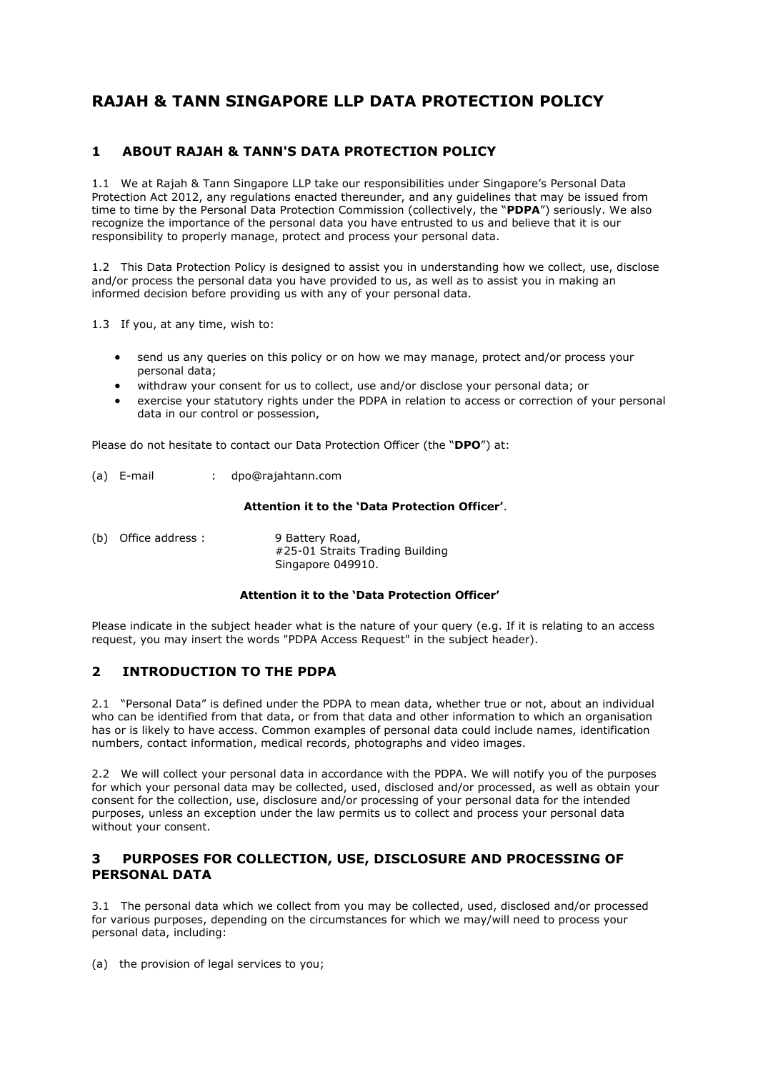# **RAJAH & TANN SINGAPORE LLP DATA PROTECTION POLICY**

## **1 ABOUT RAJAH & TANN'S DATA PROTECTION POLICY**

1.1 We at Rajah & Tann Singapore LLP take our responsibilities under Singapore's Personal Data Protection Act 2012, any regulations enacted thereunder, and any guidelines that may be issued from time to time by the Personal Data Protection Commission (collectively, the "**PDPA**") seriously. We also recognize the importance of the personal data you have entrusted to us and believe that it is our responsibility to properly manage, protect and process your personal data.

1.2 This Data Protection Policy is designed to assist you in understanding how we collect, use, disclose and/or process the personal data you have provided to us, as well as to assist you in making an informed decision before providing us with any of your personal data.

1.3 If you, at any time, wish to:

- send us any queries on this policy or on how we may manage, protect and/or process your personal data;
- withdraw your consent for us to collect, use and/or disclose your personal data; or
- exercise your statutory rights under the PDPA in relation to access or correction of your personal data in our control or possession,

Please do not hesitate to contact our Data Protection Officer (the "**DPO**") at:

(a) E-mail : dpo@rajahtann.com

#### **Attention it to the 'Data Protection Officer'**.

(b) Office address : 9 Battery Road, #25-01 Straits Trading Building Singapore 049910.

#### **Attention it to the 'Data Protection Officer'**

Please indicate in the subject header what is the nature of your query (e.g. If it is relating to an access request, you may insert the words "PDPA Access Request" in the subject header).

## **2 INTRODUCTION TO THE PDPA**

2.1 "Personal Data" is defined under the PDPA to mean data, whether true or not, about an individual who can be identified from that data, or from that data and other information to which an organisation has or is likely to have access. Common examples of personal data could include names, identification numbers, contact information, medical records, photographs and video images.

2.2 We will collect your personal data in accordance with the PDPA. We will notify you of the purposes for which your personal data may be collected, used, disclosed and/or processed, as well as obtain your consent for the collection, use, disclosure and/or processing of your personal data for the intended purposes, unless an exception under the law permits us to collect and process your personal data without your consent.

## **3 PURPOSES FOR COLLECTION, USE, DISCLOSURE AND PROCESSING OF PERSONAL DATA**

3.1 The personal data which we collect from you may be collected, used, disclosed and/or processed for various purposes, depending on the circumstances for which we may/will need to process your personal data, including:

(a) the provision of legal services to you;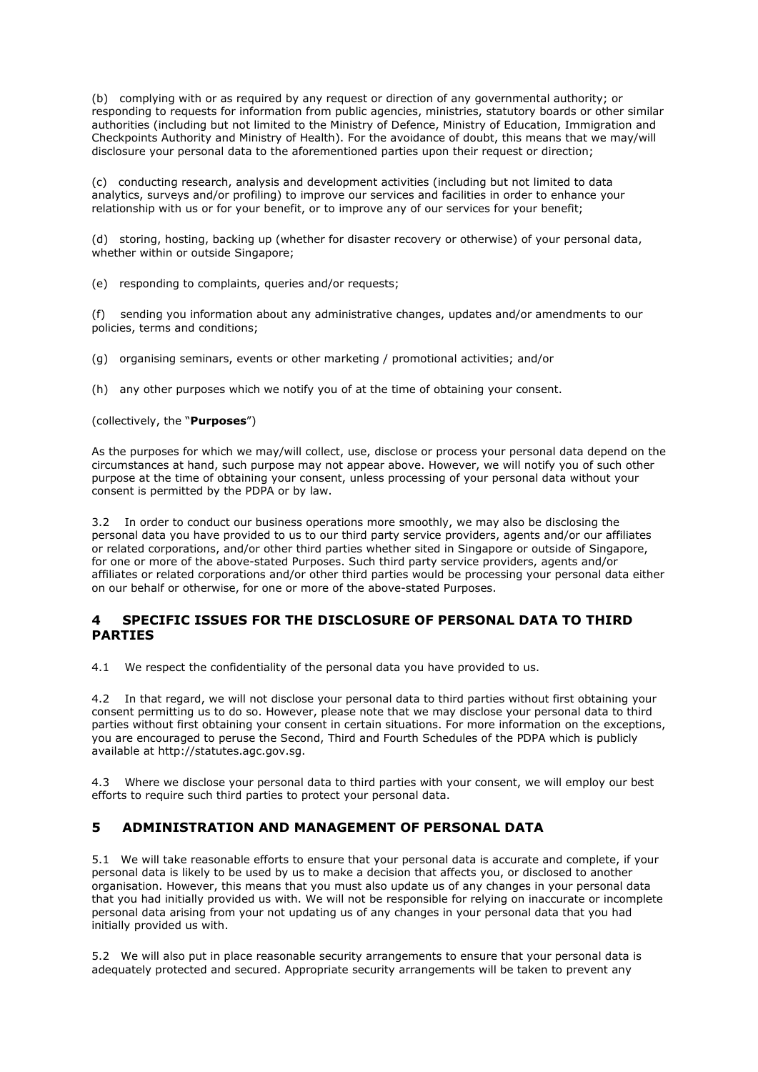(b) complying with or as required by any request or direction of any governmental authority; or responding to requests for information from public agencies, ministries, statutory boards or other similar authorities (including but not limited to the Ministry of Defence, Ministry of Education, Immigration and Checkpoints Authority and Ministry of Health). For the avoidance of doubt, this means that we may/will disclosure your personal data to the aforementioned parties upon their request or direction;

(c) conducting research, analysis and development activities (including but not limited to data analytics, surveys and/or profiling) to improve our services and facilities in order to enhance your relationship with us or for your benefit, or to improve any of our services for your benefit;

(d) storing, hosting, backing up (whether for disaster recovery or otherwise) of your personal data, whether within or outside Singapore;

(e) responding to complaints, queries and/or requests;

(f) sending you information about any administrative changes, updates and/or amendments to our policies, terms and conditions;

(g) organising seminars, events or other marketing / promotional activities; and/or

(h) any other purposes which we notify you of at the time of obtaining your consent.

(collectively, the "**Purposes**")

As the purposes for which we may/will collect, use, disclose or process your personal data depend on the circumstances at hand, such purpose may not appear above. However, we will notify you of such other purpose at the time of obtaining your consent, unless processing of your personal data without your consent is permitted by the PDPA or by law.

3.2 In order to conduct our business operations more smoothly, we may also be disclosing the personal data you have provided to us to our third party service providers, agents and/or our affiliates or related corporations, and/or other third parties whether sited in Singapore or outside of Singapore, for one or more of the above-stated Purposes. Such third party service providers, agents and/or affiliates or related corporations and/or other third parties would be processing your personal data either on our behalf or otherwise, for one or more of the above-stated Purposes.

#### **4 SPECIFIC ISSUES FOR THE DISCLOSURE OF PERSONAL DATA TO THIRD PARTIES**

4.1 We respect the confidentiality of the personal data you have provided to us.

4.2 In that regard, we will not disclose your personal data to third parties without first obtaining your consent permitting us to do so. However, please note that we may disclose your personal data to third parties without first obtaining your consent in certain situations. For more information on the exceptions, you are encouraged to peruse the Second, Third and Fourth Schedules of the PDPA which is publicly available at http://statutes.agc.gov.sg.

4.3 Where we disclose your personal data to third parties with your consent, we will employ our best efforts to require such third parties to protect your personal data.

## **5 ADMINISTRATION AND MANAGEMENT OF PERSONAL DATA**

5.1 We will take reasonable efforts to ensure that your personal data is accurate and complete, if your personal data is likely to be used by us to make a decision that affects you, or disclosed to another organisation. However, this means that you must also update us of any changes in your personal data that you had initially provided us with. We will not be responsible for relying on inaccurate or incomplete personal data arising from your not updating us of any changes in your personal data that you had initially provided us with.

5.2 We will also put in place reasonable security arrangements to ensure that your personal data is adequately protected and secured. Appropriate security arrangements will be taken to prevent any